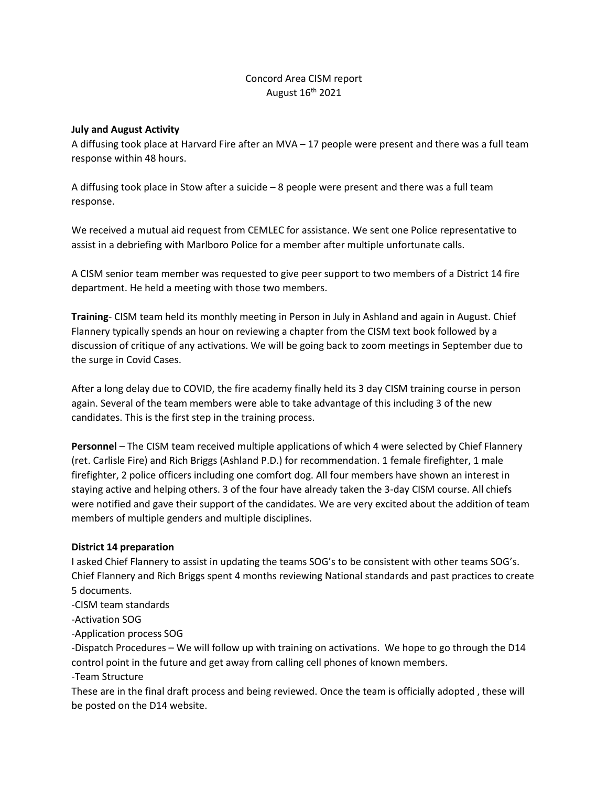## Concord Area CISM report August 16th 2021

## **July and August Activity**

A diffusing took place at Harvard Fire after an MVA – 17 people were present and there was a full team response within 48 hours.

A diffusing took place in Stow after a suicide – 8 people were present and there was a full team response.

We received a mutual aid request from CEMLEC for assistance. We sent one Police representative to assist in a debriefing with Marlboro Police for a member after multiple unfortunate calls.

A CISM senior team member was requested to give peer support to two members of a District 14 fire department. He held a meeting with those two members.

**Training**- CISM team held its monthly meeting in Person in July in Ashland and again in August. Chief Flannery typically spends an hour on reviewing a chapter from the CISM text book followed by a discussion of critique of any activations. We will be going back to zoom meetings in September due to the surge in Covid Cases.

After a long delay due to COVID, the fire academy finally held its 3 day CISM training course in person again. Several of the team members were able to take advantage of this including 3 of the new candidates. This is the first step in the training process.

**Personnel** – The CISM team received multiple applications of which 4 were selected by Chief Flannery (ret. Carlisle Fire) and Rich Briggs (Ashland P.D.) for recommendation. 1 female firefighter, 1 male firefighter, 2 police officers including one comfort dog. All four members have shown an interest in staying active and helping others. 3 of the four have already taken the 3-day CISM course. All chiefs were notified and gave their support of the candidates. We are very excited about the addition of team members of multiple genders and multiple disciplines.

## **District 14 preparation**

I asked Chief Flannery to assist in updating the teams SOG's to be consistent with other teams SOG's. Chief Flannery and Rich Briggs spent 4 months reviewing National standards and past practices to create 5 documents.

-CISM team standards

-Activation SOG

-Application process SOG

-Dispatch Procedures – We will follow up with training on activations. We hope to go through the D14 control point in the future and get away from calling cell phones of known members.

-Team Structure

These are in the final draft process and being reviewed. Once the team is officially adopted , these will be posted on the D14 website.